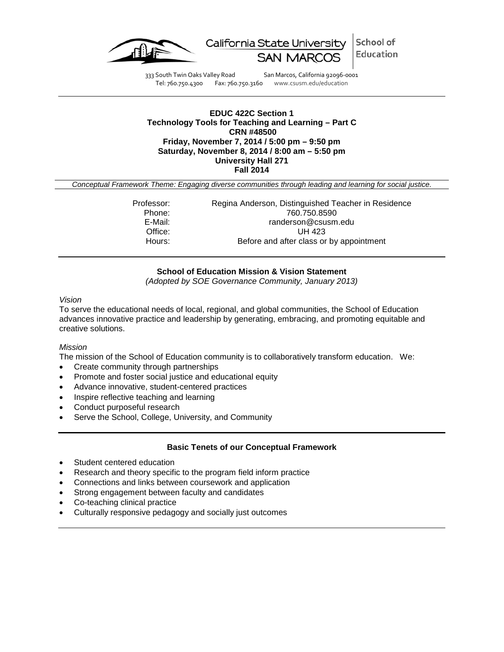



333 South Twin Oaks Valley Road San Marcos, California 92096-0001 Tel: 760.750.4300 Fax: 760.750.3160 www.csusm.edu/education

### **EDUC 422C Section 1 Technology Tools for Teaching and Learning – Part C CRN #48500 Friday, November 7, 2014 / 5:00 pm – 9:50 pm Saturday, November 8, 2014 / 8:00 am – 5:50 pm University Hall 271 Fall 2014**

*Conceptual Framework Theme: Engaging diverse communities through leading and learning for social justice.*

Professor: Regina Anderson, Distinguished Teacher in Residence Phone: 760.750.8590<br>E-Mail: 760.750.8590 E-Mail: E-Mail: randerson@csusm.edu<br>Office: UH 423 Office: UH 423<br>
Hours: Before and after class or Before and after class or by appointment

### **School of Education Mission & Vision Statement**

*(Adopted by SOE Governance Community, January 2013)*

#### *Vision*

To serve the educational needs of local, regional, and global communities, the School of Education advances innovative practice and leadership by generating, embracing, and promoting equitable and creative solutions.

#### *Mission*

The mission of the School of Education community is to collaboratively transform education. We:

- Create community through partnerships
- Promote and foster social justice and educational equity
- Advance innovative, student-centered practices
- Inspire reflective teaching and learning
- Conduct purposeful research
- Serve the School, College, University, and Community

#### **Basic Tenets of our Conceptual Framework**

- Student centered education
- Research and theory specific to the program field inform practice
- Connections and links between coursework and application
- Strong engagement between faculty and candidates
- Co-teaching clinical practice
- Culturally responsive pedagogy and socially just outcomes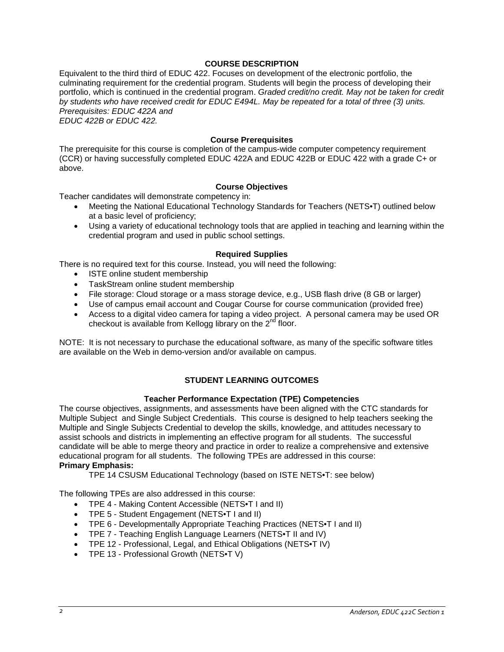### **COURSE DESCRIPTION**

Equivalent to the third third of EDUC 422. Focuses on development of the electronic portfolio, the culminating requirement for the credential program. Students will begin the process of developing their portfolio, which is continued in the credential program. *Graded credit/no credit. May not be taken for credit by students who have received credit for EDUC E494L. May be repeated for a total of three (3) units. Prerequisites: EDUC 422A and EDUC 422B or EDUC 422.*

**Course Prerequisites** 

The prerequisite for this course is completion of the campus-wide computer competency requirement (CCR) or having successfully completed EDUC 422A and EDUC 422B or EDUC 422 with a grade C+ or above.

#### **Course Objectives**

Teacher candidates will demonstrate competency in:

- Meeting the National Educational Technology Standards for Teachers (NETS•T) outlined below at a basic level of proficiency;
- Using a variety of educational technology tools that are applied in teaching and learning within the credential program and used in public school settings.

#### **Required Supplies**

There is no required text for this course. Instead, you will need the following:

- ISTE online student membership
- TaskStream online student membership
- File storage: Cloud storage or a mass storage device, e.g., USB flash drive (8 GB or larger)
- Use of campus email account and Cougar Course for course communication (provided free)
- Access to a digital video camera for taping a video project. A personal camera may be used OR checkout is available from Kellogg library on the  $2<sup>nd</sup>$  floor.

NOTE: It is not necessary to purchase the educational software, as many of the specific software titles are available on the Web in demo-version and/or available on campus.

## **STUDENT LEARNING OUTCOMES**

#### **Teacher Performance Expectation (TPE) Competencies**

The course objectives, assignments, and assessments have been aligned with the CTC standards for Multiple Subject and Single Subject Credentials. This course is designed to help teachers seeking the Multiple and Single Subjects Credential to develop the skills, knowledge, and attitudes necessary to assist schools and districts in implementing an effective program for all students. The successful candidate will be able to merge theory and practice in order to realize a comprehensive and extensive educational program for all students. The following TPEs are addressed in this course: **Primary Emphasis:**

TPE 14 CSUSM Educational Technology (based on ISTE NETS•T: see below)

The following TPEs are also addressed in this course:

- TPE 4 Making Content Accessible (NETS•T I and II)
- TPE 5 Student Engagement (NETS•T I and II)
- TPE 6 Developmentally Appropriate Teaching Practices (NETS•T I and II)
- TPE 7 Teaching English Language Learners (NETS•T II and IV)
- TPE 12 Professional, Legal, and Ethical Obligations (NETS•T IV)
- TPE 13 Professional Growth (NETS•T V)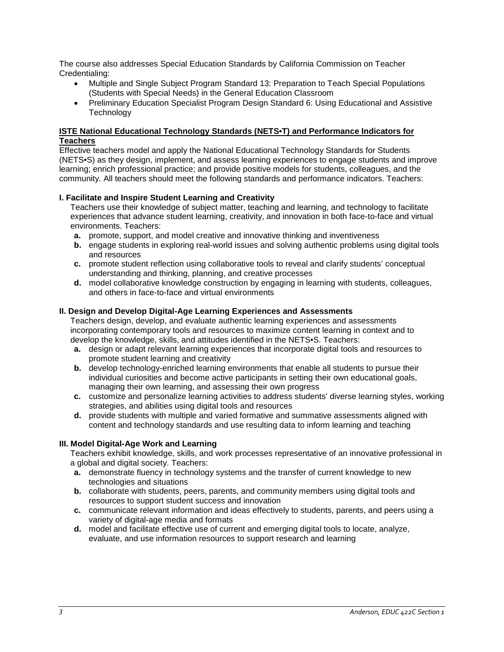The course also addresses Special Education Standards by California Commission on Teacher Credentialing:

- Multiple and Single Subject Program Standard 13: Preparation to Teach Special Populations (Students with Special Needs) in the General Education Classroom
- Preliminary Education Specialist Program Design Standard 6: Using Educational and Assistive **Technology**

## **ISTE National Educational Technology Standards (NETS•T) and Performance Indicators for Teachers**

Effective teachers model and apply the National Educational Technology Standards for Students (NETS•S) as they design, implement, and assess learning experiences to engage students and improve learning; enrich professional practice; and provide positive models for students, colleagues, and the community. All teachers should meet the following standards and performance indicators. Teachers:

## **I. Facilitate and Inspire Student Learning and Creativity**

Teachers use their knowledge of subject matter, teaching and learning, and technology to facilitate experiences that advance student learning, creativity, and innovation in both face-to-face and virtual environments. Teachers:

- **a.** promote, support, and model creative and innovative thinking and inventiveness
- **b.** engage students in exploring real-world issues and solving authentic problems using digital tools and resources
- **c.** promote student reflection using collaborative tools to reveal and clarify students' conceptual understanding and thinking, planning, and creative processes
- **d.** model collaborative knowledge construction by engaging in learning with students, colleagues, and others in face-to-face and virtual environments

## **II. Design and Develop Digital-Age Learning Experiences and Assessments**

Teachers design, develop, and evaluate authentic learning experiences and assessments incorporating contemporary tools and resources to maximize content learning in context and to develop the knowledge, skills, and attitudes identified in the NETS•S. Teachers:

- **a.** design or adapt relevant learning experiences that incorporate digital tools and resources to promote student learning and creativity
- **b.** develop technology-enriched learning environments that enable all students to pursue their individual curiosities and become active participants in setting their own educational goals, managing their own learning, and assessing their own progress
- **c.** customize and personalize learning activities to address students' diverse learning styles, working strategies, and abilities using digital tools and resources
- **d.** provide students with multiple and varied formative and summative assessments aligned with content and technology standards and use resulting data to inform learning and teaching

## **III. Model Digital-Age Work and Learning**

Teachers exhibit knowledge, skills, and work processes representative of an innovative professional in a global and digital society. Teachers:

- **a.** demonstrate fluency in technology systems and the transfer of current knowledge to new technologies and situations
- **b.** collaborate with students, peers, parents, and community members using digital tools and resources to support student success and innovation
- **c.** communicate relevant information and ideas effectively to students, parents, and peers using a variety of digital-age media and formats
- **d.** model and facilitate effective use of current and emerging digital tools to locate, analyze, evaluate, and use information resources to support research and learning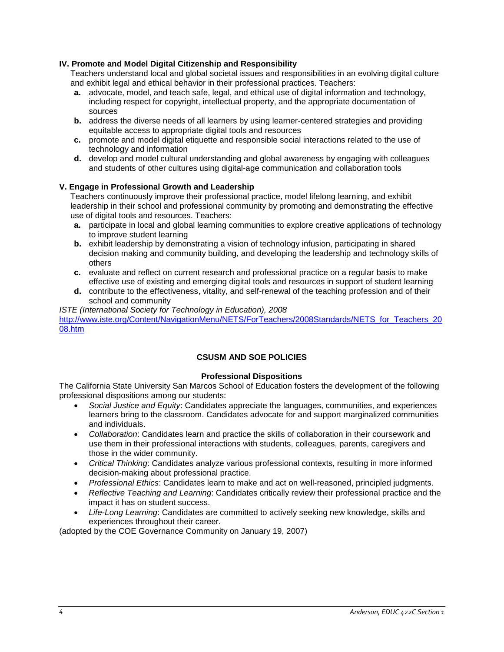## **IV. Promote and Model Digital Citizenship and Responsibility**

Teachers understand local and global societal issues and responsibilities in an evolving digital culture and exhibit legal and ethical behavior in their professional practices. Teachers:

- **a.** advocate, model, and teach safe, legal, and ethical use of digital information and technology, including respect for copyright, intellectual property, and the appropriate documentation of sources
- **b.** address the diverse needs of all learners by using learner-centered strategies and providing equitable access to appropriate digital tools and resources
- **c.** promote and model digital etiquette and responsible social interactions related to the use of technology and information
- **d.** develop and model cultural understanding and global awareness by engaging with colleagues and students of other cultures using digital-age communication and collaboration tools

## **V. Engage in Professional Growth and Leadership**

Teachers continuously improve their professional practice, model lifelong learning, and exhibit leadership in their school and professional community by promoting and demonstrating the effective use of digital tools and resources. Teachers:

- **a.** participate in local and global learning communities to explore creative applications of technology to improve student learning
- **b.** exhibit leadership by demonstrating a vision of technology infusion, participating in shared decision making and community building, and developing the leadership and technology skills of others
- **c.** evaluate and reflect on current research and professional practice on a regular basis to make effective use of existing and emerging digital tools and resources in support of student learning
- **d.** contribute to the effectiveness, vitality, and self-renewal of the teaching profession and of their school and community

*ISTE (International Society for Technology in Education), 2008* [http://www.iste.org/Content/NavigationMenu/NETS/ForTeachers/2008Standards/NETS\\_for\\_Teachers\\_20](http://www.iste.org/Content/NavigationMenu/NETS/ForTeachers/2008Standards/NETS_for_Teachers_2008.htm) [08.htm](http://www.iste.org/Content/NavigationMenu/NETS/ForTeachers/2008Standards/NETS_for_Teachers_2008.htm)

# **CSUSM AND SOE POLICIES**

#### **Professional Dispositions**

The California State University San Marcos School of Education fosters the development of the following professional dispositions among our students:

- *Social Justice and Equity*: Candidates appreciate the languages, communities, and experiences learners bring to the classroom. Candidates advocate for and support marginalized communities and individuals.
- *Collaboration*: Candidates learn and practice the skills of collaboration in their coursework and use them in their professional interactions with students, colleagues, parents, caregivers and those in the wider community.
- *Critical Thinking*: Candidates analyze various professional contexts, resulting in more informed decision-making about professional practice.
- *Professional Ethics*: Candidates learn to make and act on well-reasoned, principled judgments.
- *Reflective Teaching and Learning*: Candidates critically review their professional practice and the impact it has on student success.
- *Life-Long Learning*: Candidates are committed to actively seeking new knowledge, skills and experiences throughout their career.

(adopted by the COE Governance Community on January 19, 2007)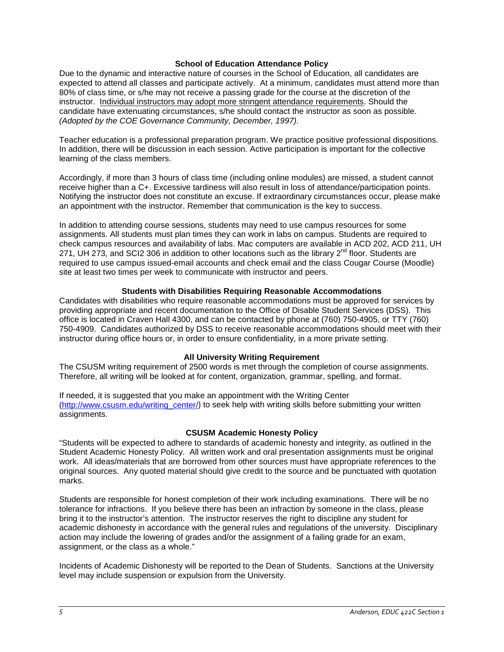### **School of Education Attendance Policy**

Due to the dynamic and interactive nature of courses in the School of Education, all candidates are expected to attend all classes and participate actively. At a minimum, candidates must attend more than 80% of class time, or s/he may not receive a passing grade for the course at the discretion of the instructor. Individual instructors may adopt more stringent attendance requirements. Should the candidate have extenuating circumstances, s/he should contact the instructor as soon as possible. *(Adopted by the COE Governance Community, December, 1997).*

Teacher education is a professional preparation program. We practice positive professional dispositions. In addition, there will be discussion in each session. Active participation is important for the collective learning of the class members.

Accordingly, if more than 3 hours of class time (including online modules) are missed, a student cannot receive higher than a C+. Excessive tardiness will also result in loss of attendance/participation points. Notifying the instructor does not constitute an excuse. If extraordinary circumstances occur, please make an appointment with the instructor. Remember that communication is the key to success.

In addition to attending course sessions, students may need to use campus resources for some assignments. All students must plan times they can work in labs on campus. Students are required to check campus resources and availability of labs. Mac computers are available in ACD 202, ACD 211, UH 271, UH 273, and SCI2 306 in addition to other locations such as the library  $2<sup>nd</sup>$  floor. Students are required to use campus issued-email accounts and check email and the class Cougar Course (Moodle) site at least two times per week to communicate with instructor and peers.

### **Students with Disabilities Requiring Reasonable Accommodations**

Candidates with disabilities who require reasonable accommodations must be approved for services by providing appropriate and recent documentation to the Office of Disable Student Services (DSS). This office is located in Craven Hall 4300, and can be contacted by phone at (760) 750-4905, or TTY (760) 750-4909. Candidates authorized by DSS to receive reasonable accommodations should meet with their instructor during office hours or, in order to ensure confidentiality, in a more private setting.

## **All University Writing Requirement**

The CSUSM writing requirement of 2500 words is met through the completion of course assignments. Therefore, all writing will be looked at for content, organization, grammar, spelling, and format.

If needed, it is suggested that you make an appointment with the Writing Center [\(http://www.csusm.edu/writing\\_center/\)](http://www.csusm.edu/writing_center/) to seek help with writing skills before submitting your written assignments.

#### **CSUSM Academic Honesty Policy**

"Students will be expected to adhere to standards of academic honesty and integrity, as outlined in the Student Academic Honesty Policy. All written work and oral presentation assignments must be original work. All ideas/materials that are borrowed from other sources must have appropriate references to the original sources. Any quoted material should give credit to the source and be punctuated with quotation marks.

Students are responsible for honest completion of their work including examinations. There will be no tolerance for infractions. If you believe there has been an infraction by someone in the class, please bring it to the instructor's attention. The instructor reserves the right to discipline any student for academic dishonesty in accordance with the general rules and regulations of the university. Disciplinary action may include the lowering of grades and/or the assignment of a failing grade for an exam, assignment, or the class as a whole."

Incidents of Academic Dishonesty will be reported to the Dean of Students. Sanctions at the University level may include suspension or expulsion from the University.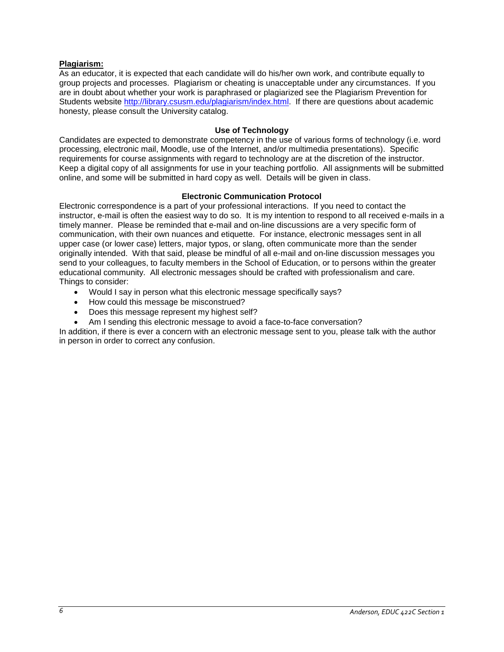## **Plagiarism:**

As an educator, it is expected that each candidate will do his/her own work, and contribute equally to group projects and processes. Plagiarism or cheating is unacceptable under any circumstances. If you are in doubt about whether your work is paraphrased or plagiarized see the Plagiarism Prevention for Students website [http://library.csusm.edu/plagiarism/index.html.](http://library.csusm.edu/plagiarism/index.html) If there are questions about academic honesty, please consult the University catalog.

### **Use of Technology**

Candidates are expected to demonstrate competency in the use of various forms of technology (i.e. word processing, electronic mail, Moodle, use of the Internet, and/or multimedia presentations). Specific requirements for course assignments with regard to technology are at the discretion of the instructor. Keep a digital copy of all assignments for use in your teaching portfolio. All assignments will be submitted online, and some will be submitted in hard copy as well. Details will be given in class.

### **Electronic Communication Protocol**

Electronic correspondence is a part of your professional interactions. If you need to contact the instructor, e-mail is often the easiest way to do so. It is my intention to respond to all received e-mails in a timely manner. Please be reminded that e-mail and on-line discussions are a very specific form of communication, with their own nuances and etiquette. For instance, electronic messages sent in all upper case (or lower case) letters, major typos, or slang, often communicate more than the sender originally intended. With that said, please be mindful of all e-mail and on-line discussion messages you send to your colleagues, to faculty members in the School of Education, or to persons within the greater educational community. All electronic messages should be crafted with professionalism and care. Things to consider:

- Would I say in person what this electronic message specifically says?
- How could this message be misconstrued?
- Does this message represent my highest self?
- Am I sending this electronic message to avoid a face-to-face conversation?

In addition, if there is ever a concern with an electronic message sent to you, please talk with the author in person in order to correct any confusion.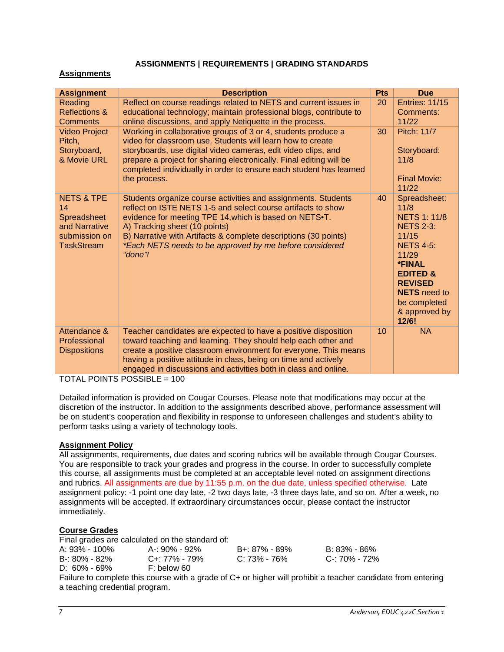# **ASSIGNMENTS | REQUIREMENTS | GRADING STANDARDS**

### **Assignments**

| <b>Assignment</b>                                                                          | <b>Description</b>                                                                                                                                                                                                                                                                                                                                                | <b>Pts</b> | <b>Due</b>                                                                                                                                                                                                                |
|--------------------------------------------------------------------------------------------|-------------------------------------------------------------------------------------------------------------------------------------------------------------------------------------------------------------------------------------------------------------------------------------------------------------------------------------------------------------------|------------|---------------------------------------------------------------------------------------------------------------------------------------------------------------------------------------------------------------------------|
| Reading<br><b>Reflections &amp;</b><br>Comments                                            | Reflect on course readings related to NETS and current issues in<br>educational technology; maintain professional blogs, contribute to<br>online discussions, and apply Netiquette in the process.                                                                                                                                                                | 20         | <b>Entries: 11/15</b><br>Comments:<br>11/22                                                                                                                                                                               |
| <b>Video Project</b><br>Pitch,<br>Storyboard,<br>& Movie URL                               | Working in collaborative groups of 3 or 4, students produce a<br>video for classroom use. Students will learn how to create<br>storyboards, use digital video cameras, edit video clips, and<br>prepare a project for sharing electronically. Final editing will be<br>completed individually in order to ensure each student has learned<br>the process.         | 30         | Pitch: 11/7<br>Storyboard:<br>11/8<br><b>Final Movie:</b><br>11/22                                                                                                                                                        |
| <b>NETS &amp; TPE</b><br>14<br>Spreadsheet<br>and Narrative<br>submission on<br>TaskStream | Students organize course activities and assignments. Students<br>reflect on ISTE NETS 1-5 and select course artifacts to show<br>evidence for meeting TPE 14, which is based on NETS.T.<br>A) Tracking sheet (10 points)<br>B) Narrative with Artifacts & complete descriptions (30 points)<br>*Each NETS needs to be approved by me before considered<br>"done"! | 40         | Spreadsheet:<br>11/8<br><b>NETS 1: 11/8</b><br><b>NETS 2-3:</b><br>11/15<br><b>NETS 4-5:</b><br>11/29<br>*FINAL<br><b>EDITED &amp;</b><br><b>REVISED</b><br><b>NETS</b> need to<br>be completed<br>& approved by<br>12/6! |
| Attendance &<br>Professional<br><b>Dispositions</b>                                        | Teacher candidates are expected to have a positive disposition<br>toward teaching and learning. They should help each other and<br>create a positive classroom environment for everyone. This means<br>having a positive attitude in class, being on time and actively<br>engaged in discussions and activities both in class and online.                         | 10         | <b>NA</b>                                                                                                                                                                                                                 |

TOTAL POINTS POSSIBLE = 100

Detailed information is provided on Cougar Courses. Please note that modifications may occur at the discretion of the instructor. In addition to the assignments described above, performance assessment will be on student's cooperation and flexibility in response to unforeseen challenges and student's ability to perform tasks using a variety of technology tools.

## **Assignment Policy**

All assignments, requirements, due dates and scoring rubrics will be available through Cougar Courses. You are responsible to track your grades and progress in the course. In order to successfully complete this course, all assignments must be completed at an acceptable level noted on assignment directions and rubrics. All assignments are due by 11:55 p.m. on the due date, unless specified otherwise. Late assignment policy: -1 point one day late, -2 two days late, -3 three days late, and so on. After a week, no assignments will be accepted. If extraordinary circumstances occur, please contact the instructor immediately.

## **Course Grades**

|                   | Final grades are calculated on the standard of:                                                                                                                                                                                  |                 |               |
|-------------------|----------------------------------------------------------------------------------------------------------------------------------------------------------------------------------------------------------------------------------|-----------------|---------------|
| A: 93% - 100%     | A-: 90% - 92%                                                                                                                                                                                                                    | B+: 87% - 89%   | B: 83% - 86%  |
| $B - 80\% - 82\%$ | C+: 77% - 79%                                                                                                                                                                                                                    | $C: 73\%$ - 76% | C-: 70% - 72% |
| $D: 60\% - 69\%$  | F: below 60                                                                                                                                                                                                                      |                 |               |
|                   | $\Box$ . The first contract of the contract of the contract of $\Box$ . The best of the contract of the contract of the contract of the contract of the contract of the contract of the contract of the contract of the contract |                 |               |

Failure to complete this course with a grade of C+ or higher will prohibit a teacher candidate from entering a teaching credential program.